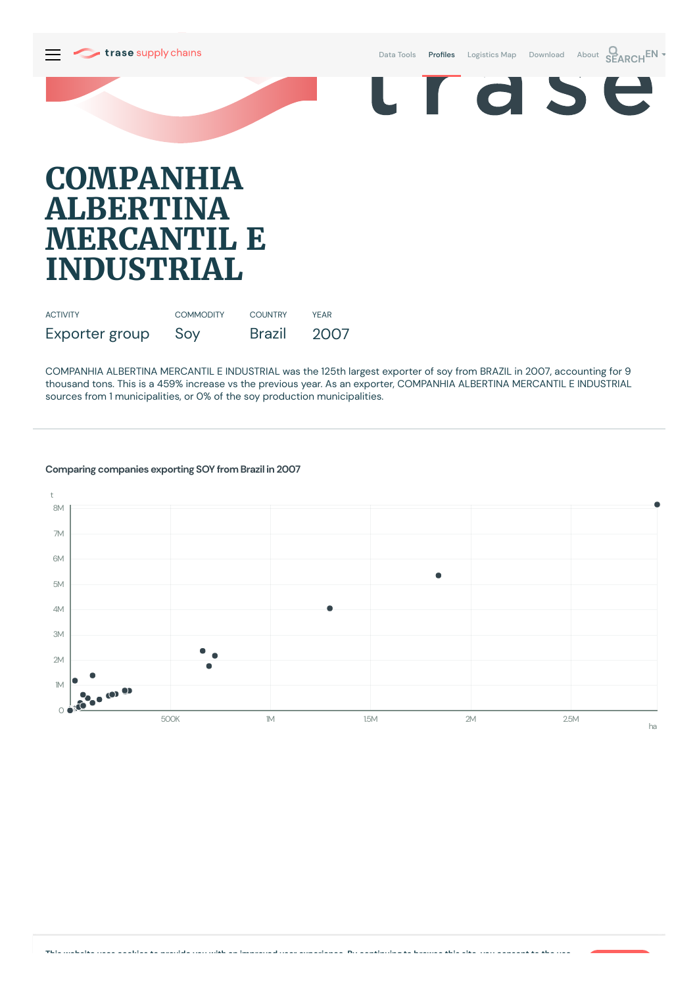

# **COMPANHIA ALBERTINA MERCANTIL E INDUSTRIAL**

| <b>ACTIVITY</b> | <b>COMMODITY</b> | <b>COUNTRY</b> | <b>YFAR</b> |
|-----------------|------------------|----------------|-------------|
| Exporter group  | Soy              | Brazil 2007    |             |

COMPANHIA ALBERTINA MERCANTIL E INDUSTRIAL was the 125th largest exporter of soy from BRAZIL in 2007, accounting for 9 thousand tons. This is a 459% increase vs the previous year. As an exporter, COMPANHIA ALBERTINA MERCANTIL E INDUSTRIAL sources from 1municipalities, or 0% of the soy production municipalities.



## **Comparing companies exporting SOY from Brazil in 2007**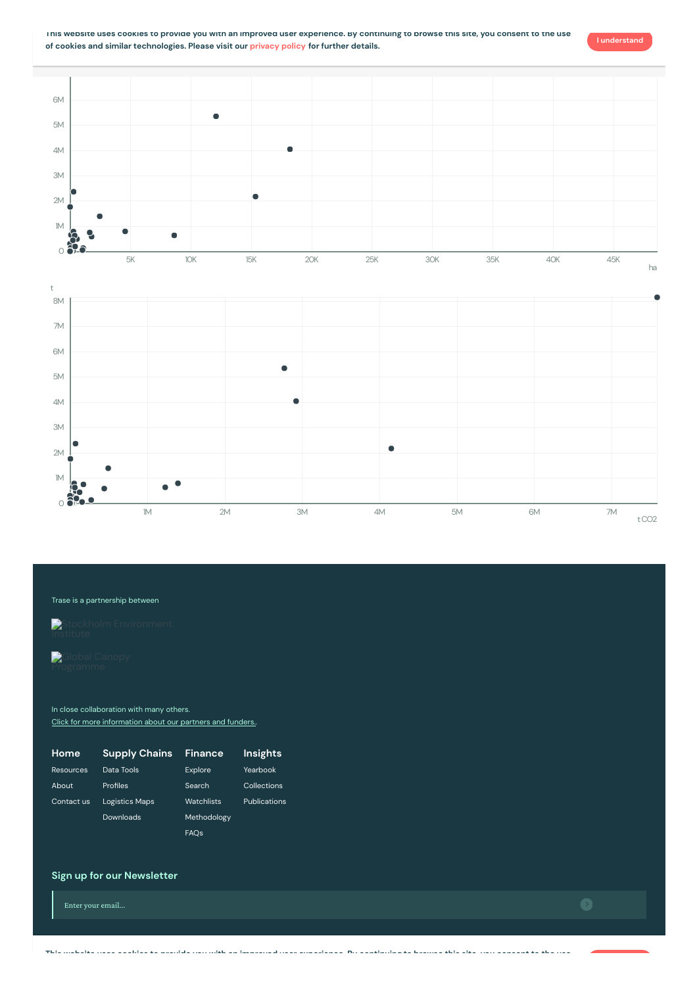.<br>This make the most conflict has been different the behavior of the construction of the comparison of the component of the state of the construction of the state of the construction of the construction of the construction





#### Trase is a partnership between

Stockholm [Environment](https://sei-international.org/)

In close collaboration with many others. Click for more [information](https://www.trase.earth/about/) about our partners and funders.

| Home       | <b>Supply Chains</b>  | Finance     | Insights     |
|------------|-----------------------|-------------|--------------|
| Resources  | Data Tools            | Explore     | Yearbook     |
| About      | Profiles              | Search      | Collections  |
| Contact us | <b>Logistics Maps</b> | Watchlists  | Publications |
|            | Downloads             | Methodology |              |
|            |                       | <b>FAOs</b> |              |

### **Sign up for our Newsletter**

Enter your email...